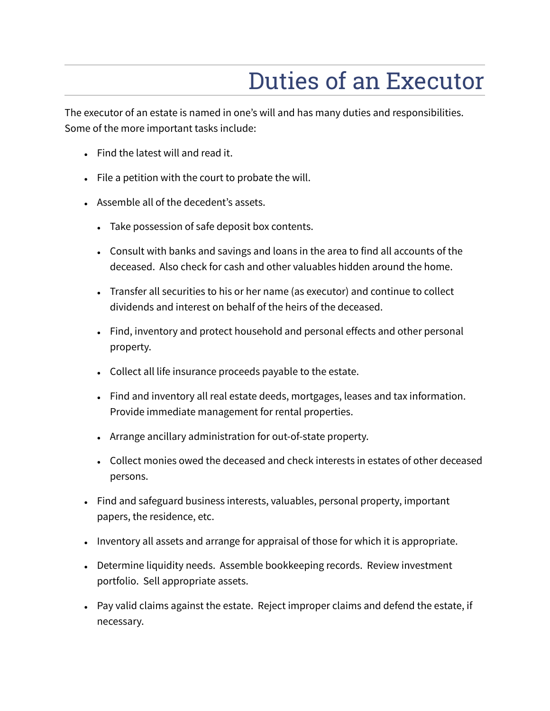## Duties of an Executor

The executor of an estate is named in one's will and has many duties and responsibilities. Some of the more important tasks include:

- Find the latest will and read it.
- $\bullet$  File a petition with the court to probate the will.
- Assemble all of the decedent's assets.
	- Take possession of safe deposit box contents.
	- Consult with banks and savings and loans in the area to find all accounts of the deceased. Also check for cash and other valuables hidden around the home.
	- Transfer all securities to his or her name (as executor) and continue to collect dividends and interest on behalf of the heirs of the deceased.
	- Find, inventory and protect household and personal effects and other personal property.
	- Collect all life insurance proceeds payable to the estate.
	- Find and inventory all real estate deeds, mortgages, leases and tax information. Provide immediate management for rental properties.
	- Arrange ancillary administration for out-of-state property.
	- Collect monies owed the deceased and check interests in estates of other deceased persons.
- Find and safeguard business interests, valuables, personal property, important papers, the residence, etc.
- Inventory all assets and arrange for appraisal of those for which it is appropriate.
- Determine liquidity needs. Assemble bookkeeping records. Review investment portfolio. Sell appropriate assets.
- Pay valid claims against the estate. Reject improper claims and defend the estate, if necessary.